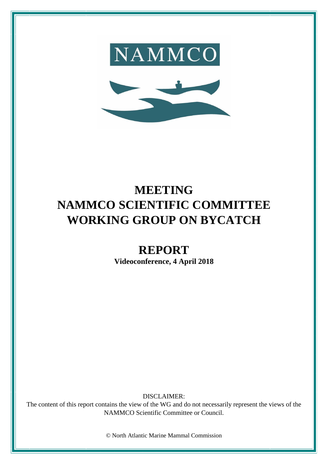



## **MEETING NAMMCO SCIENTIFIC COMMITTEE WORKING GROUP ON BYCATCH**

# **REPORT**

**Videoconference, 4 April 2018**

DISCLAIMER:

The content of this report contains the view of the WG and do not necessarily represent the views of the NAMMCO Scientific Committee or Council.

© North Atlantic Marine Mammal Commission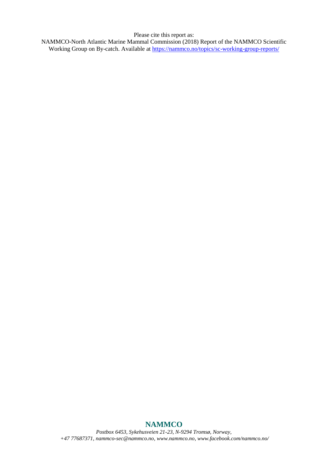Please cite this report as:

NAMMCO-North Atlantic Marine Mammal Commission (2018) Report of the NAMMCO Scientific Working Group on By-catch. Available at<https://nammco.no/topics/sc-working-group-reports/>

### **NAMMCO**

*Postbox 6453, Sykehusveien 21-23, N-9294 Tromsø, Norway, +47 77687371, [nammco-sec@nammco.no,](mailto:nammco-sec@nammco.no) [www.nammco.no,](http://www.nammco.no/) [www.facebook.com/nammco.no/](http://www.facebook.com/nammco.no/)*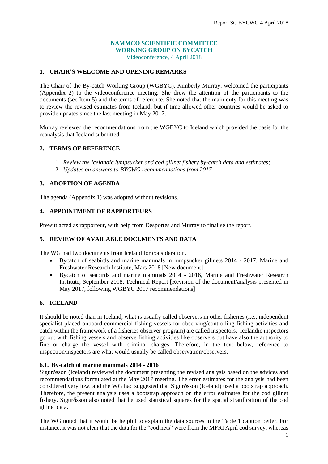#### **NAMMCO SCIENTIFIC COMMITTEE WORKING GROUP ON BYCATCH**

Videoconference, 4 April 2018

#### **1. CHAIR'S WELCOME AND OPENING REMARKS**

The Chair of the By-catch Working Group (WGBYC), Kimberly Murray, welcomed the participants (Appendix 2) to the videoconference meeting. She drew the attention of the participants to the documents (see Item 5) and the terms of reference. She noted that the main duty for this meeting was to review the revised estimates from Iceland, but if time allowed other countries would be asked to provide updates since the last meeting in May 2017.

Murray reviewed the recommendations from the WGBYC to Iceland which provided the basis for the reanalysis that Iceland submitted.

#### **2. TERMS OF REFERENCE**

- 1. *Review the Icelandic lumpsucker and cod gillnet fishery by-catch data and estimates;*
- 2. *Updates on answers to BYCWG recommendations from 2017*

#### **3. ADOPTION OF AGENDA**

The agenda (Appendix 1) was adopted without revisions.

#### **4. APPOINTMENT OF RAPPORTEURS**

Prewitt acted as rapporteur, with help from Desportes and Murray to finalise the report.

#### **5. REVIEW OF AVAILABLE DOCUMENTS AND DATA**

The WG had two documents from Iceland for consideration.

- Bycatch of seabirds and marine mammals in lumpsucker gillnets 2014 2017, Marine and Freshwater Research Institute, Mars 2018 [New document]
- Bycatch of seabirds and marine mammals 2014 2016, Marine and Freshwater Research Institute, September 2018, Technical Report [Revision of the document/analysis presented in May 2017, following WGBYC 2017 recommendations]

#### **6. ICELAND**

It should be noted than in Iceland, what is usually called observers in other fisheries (i.e., independent specialist placed onboard commercial fishing vessels for observing/controlling fishing activities and catch within the framework of a fisheries observer program) are called inspectors. Icelandic inspectors go out with fishing vessels and observe fishing activities like observers but have also the authority to fine or charge the vessel with criminal charges. Therefore, in the text below, reference to inspection/inspectors are what would usually be called observation/observers.

#### **6.1. By-catch of marine mammals 2014 - 2016**

Sigurðsson (Iceland) reviewed the document presenting the revised analysis based on the advices and recommendations formulated at the May 2017 meeting. The error estimates for the analysis had been considered very low, and the WG had suggested that Sigurðsson (Iceland) used a bootstrap approach. Therefore, the present analysis uses a bootstrap approach on the error estimates for the cod gillnet fishery. Sigurðsson also noted that he used statistical squares for the spatial stratification of the cod gillnet data.

The WG noted that it would be helpful to explain the data sources in the Table 1 caption better. For instance, it was not clear that the data for the "cod nets" were from the MFRI April cod survey, whereas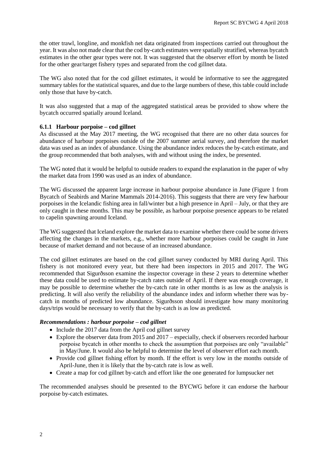the otter trawl, longline, and monkfish net data originated from inspections carried out throughout the year. It was also not made clear that the cod by-catch estimates were spatially stratified, whereas bycatch estimates in the other gear types were not. It was suggested that the observer effort by month be listed for the other gear/target fishery types and separated from the cod gillnet data.

The WG also noted that for the cod gillnet estimates, it would be informative to see the aggregated summary tables for the statistical squares, and due to the large numbers of these, this table could include only those that have by-catch.

It was also suggested that a map of the aggregated statistical areas be provided to show where the bycatch occurred spatially around Iceland.

#### **6.1.1 Harbour porpoise – cod gillnet**

As discussed at the May 2017 meeting, the WG recognised that there are no other data sources for abundance of harbour porpoises outside of the 2007 summer aerial survey, and therefore the market data was used as an index of abundance. Using the abundance index reduces the by-catch estimate, and the group recommended that both analyses, with and without using the index, be presented.

The WG noted that it would be helpful to outside readers to expand the explanation in the paper of why the market data from 1990 was used as an index of abundance.

The WG discussed the apparent large increase in harbour porpoise abundance in June (Figure 1 from Bycatch of Seabirds and Marine Mammals 2014-2016). This suggests that there are very few harbour porpoises in the Icelandic fishing area in fall/winter but a high presence in April – July, or that they are only caught in these months. This may be possible, as harbour porpoise presence appears to be related to capelin spawning around Iceland.

The WG suggested that Iceland explore the market data to examine whether there could be some drivers affecting the changes in the markets, e.g., whether more harbour porpoises could be caught in June because of market demand and not because of an increased abundance.

The cod gillnet estimates are based on the cod gillnet survey conducted by MRI during April. This fishery is not monitored every year, but there had been inspectors in 2015 and 2017. The WG recommended that Sigurðsson examine the inspector coverage in these 2 years to determine whether these data could be used to estimate by-catch rates outside of April. If there was enough coverage, it may be possible to determine whether the by-catch rate in other months is as low as the analysis is predicting. It will also verify the reliability of the abundance index and inform whether there was bycatch in months of predicted low abundance. Sigurðsson should investigate how many monitoring days/trips would be necessary to verify that the by-catch is as low as predicted.

#### *Recommendations : harbour porpoise – cod gillnet*

- Include the 2017 data from the April cod gillnet survey
- Explore the observer data from 2015 and 2017 especially, check if observers recorded harbour porpoise bycatch in other months to check the assumption that porpoises are only "available" in May/June. It would also be helpful to determine the level of observer effort each month.
- Provide cod gillnet fishing effort by month. If the effort is very low in the months outside of April-June, then it is likely that the by-catch rate is low as well.
- Create a map for cod gillnet by-catch and effort like the one generated for lumpsucker net

The recommended analyses should be presented to the BYCWG before it can endorse the harbour porpoise by-catch estimates.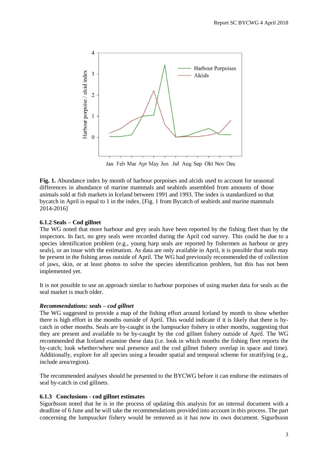

Jan Feb Mar Apr May Jun Jul Aug Sep Okt Nov Dec

**Fig. 1.** Abundance index by month of harbour porpoises and alcids used to account for seasonal differences in abundance of marine mammals and seabirds assembled from amounts of those animals sold at fish markets in Iceland between 1991 and 1993. The index is standardized so that bycatch in April is equal to 1 in the index. [Fig. 1 from Bycatch of seabirds and marine mammals 2014-2016]

#### **6.1.2 Seals – Cod gillnet**

The WG noted that more harbour and grey seals have been reported by the fishing fleet than by the inspectors. In fact, no grey seals were recorded during the April cod survey. This could be due to a species identification problem (e.g., young harp seals are reported by fishermen as harbour or grey seals), or an issue with the estimation. As data are only available in April, it is possible that seals may be present in the fishing areas outside of April. The WG had previously recommended the of collection of jaws, skin, or at least photos to solve the species identification problem, but this has not been implemented yet.

It is not possible to use an approach similar to harbour porpoises of using market data for seals as the seal market is much older.

#### *Recommendations: seals – cod gillnet*

The WG suggested to provide a map of the fishing effort around Iceland by month to show whether there is high effort in the months outside of April. This would indicate if it is likely that there is bycatch in other months. Seals are by-caught in the lumpsucker fishery in other months, suggesting that they are present and available to be by-caught by the cod gillnet fishery outside of April. The WG recommended that Iceland examine these data (i.e. look in which months the fishing fleet reports the by-catch; look whether/where seal presence and the cod gillnet fishery overlap in space and time). Additionally, explore for all species using a broader spatial and temporal scheme for stratifying (e.g., include area/region).

The recommended analyses should be presented to the BYCWG before it can endorse the estimates of seal by-catch in cod gillnets.

#### **6.1.3 Conclusions - cod gillnet estimates**

Sigurðsson noted that he is in the process of updating this analysis for an internal document with a deadline of 6 June and he will take the recommendations provided into account in this process. The part concerning the lumpsucker fishery would be removed as it has now its own document. Sigurðsson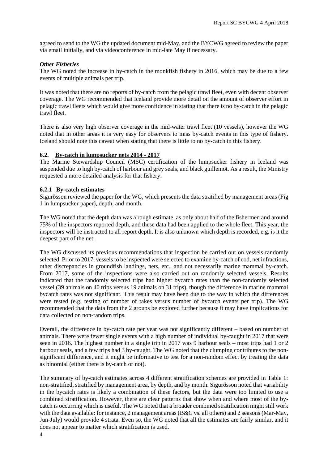agreed to send to the WG the updated document mid-May, and the BYCWG agreed to review the paper via email initially, and via videoconference in mid-late May if necessary.

#### *Other Fisheries*

The WG noted the increase in by-catch in the monkfish fishery in 2016, which may be due to a few events of multiple animals per trip.

It was noted that there are no reports of by-catch from the pelagic trawl fleet, even with decent observer coverage. The WG recommended that Iceland provide more detail on the amount of observer effort in pelagic trawl fleets which would give more confidence in stating that there is no by-catch in the pelagic trawl fleet.

There is also very high observer coverage in the mid-water trawl fleet (10 vessels), however the WG noted that in other areas it is very easy for observers to miss by-catch events in this type of fishery. Iceland should note this caveat when stating that there is little to no by-catch in this fishery.

#### **6.2. By-catch in lumpsucker nets 2014 - 2017**

The Marine Stewardship Council (MSC) certification of the lumpsucker fishery in Iceland was suspended due to high by-catch of harbour and grey seals, and black guillemot. As a result, the Ministry requested a more detailed analysis for that fishery.

#### **6.2.1 By-catch estimates**

Sigurðsson reviewed the paper for the WG, which presents the data stratified by management areas (Fig 1 in lumpsucker paper), depth, and month.

The WG noted that the depth data was a rough estimate, as only about half of the fishermen and around 75% of the inspectors reported depth, and these data had been applied to the whole fleet. This year, the inspectors will be instructed to all report depth. It is also unknown which depth is recorded, e.g. is it the deepest part of the net.

The WG discussed its previous recommendations that inspection be carried out on vessels randomly selected. Prior to 2017, vessels to be inspected were selected to examine by-catch of cod, net infractions, other discrepancies in groundfish landings, nets, etc., and not necessarily marine mammal by-catch. From 2017, some of the inspections were also carried out on randomly selected vessels. Results indicated that the randomly selected trips had higher bycatch rates than the non-randomly selected vessel (39 animals on 40 trips versus 19 animals on 31 trips), though the difference in marine mammal bycatch rates was not significant. This result may have been due to the way in which the differences were tested (e.g. testing of number of takes versus number of bycatch events per trip). The WG recommended that the data from the 2 groups be explored further because it may have implications for data collected on non-random trips.

Overall, the difference in by-catch rate per year was not significantly different – based on number of animals. There were fewer single events with a high number of individual by-caught in 2017 that were seen in 2016. The highest number in a single trip in 2017 was 9 harbour seals – most trips had 1 or 2 harbour seals, and a few trips had 3 by-caught. The WG noted that the clumping contributes to the nonsignificant difference, and it might be informative to test for a non-random effect by treating the data as binomial (either there is by-catch or not).

The summary of by-catch estimates across 4 different stratification schemes are provided in Table 1: non-stratified, stratified by management area, by depth, and by month. Sigurðsson noted that variability in the bycatch rates is likely a combination of these factors, but the data were too limited to use a combined stratification. However, there are clear patterns that show when and where most of the bycatch is occurring which is useful. The WG noted that a broader combined stratification might still work with the data available: for instance, 2 management areas (B&C vs. all others) and 2 seasons (Mar-May, Jun-July) would provide 4 strata. Even so, the WG noted that all the estimates are fairly similar, and it does not appear to matter which stratification is used.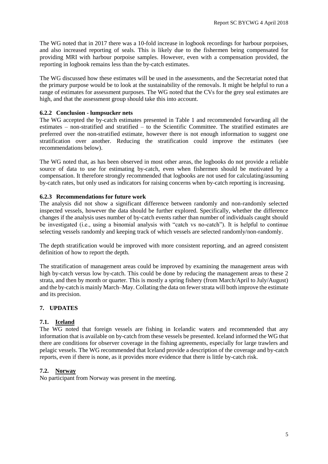The WG noted that in 2017 there was a 10-fold increase in logbook recordings for harbour porpoises, and also increased reporting of seals. This is likely due to the fishermen being compensated for providing MRI with harbour porpoise samples. However, even with a compensation provided, the reporting in logbook remains less than the by-catch estimates.

The WG discussed how these estimates will be used in the assessments, and the Secretariat noted that the primary purpose would be to look at the sustainability of the removals. It might be helpful to run a range of estimates for assessment purposes. The WG noted that the CVs for the grey seal estimates are high, and that the assessment group should take this into account.

#### **6.2.2 Conclusion - lumpsucker nets**

The WG accepted the by-catch estimates presented in Table 1 and recommended forwarding all the estimates – non-stratified and stratified – to the Scientific Committee. The stratified estimates are preferred over the non-stratified estimate, however there is not enough information to suggest one stratification over another. Reducing the stratification could improve the estimates (see recommendations below).

The WG noted that, as has been observed in most other areas, the logbooks do not provide a reliable source of data to use for estimating by-catch, even when fishermen should be motivated by a compensation. It therefore strongly recommended that logbooks are not used for calculating/assuming by-catch rates, but only used as indicators for raising concerns when by-catch reporting is increasing.

#### **6.2.3 Recommendations for future work**

The analysis did not show a significant difference between randomly and non-randomly selected inspected vessels, however the data should be further explored. Specifically, whether the difference changes if the analysis uses number of by-catch events rather than number of individuals caught should be investigated (i.e., using a binomial analysis with "catch vs no-catch"). It is helpful to continue selecting vessels randomly and keeping track of which vessels are selected randomly/non-randomly.

The depth stratification would be improved with more consistent reporting, and an agreed consistent definition of how to report the depth.

The stratification of management areas could be improved by examining the management areas with high by-catch versus low by-catch. This could be done by reducing the management areas to these 2 strata, and then by month or quarter. This is mostly a spring fishery (from March/April to July/August) and the by-catch is mainly March–May. Collating the data on fewer strata will both improve the estimate and its precision.

#### **7. UPDATES**

#### **7.1. Iceland**

The WG noted that foreign vessels are fishing in Icelandic waters and recommended that any information that is available on by-catch from these vessels be presented. Iceland informed the WG that there are conditions for observer coverage in the fishing agreements, especially for large trawlers and pelagic vessels. The WG recommended that Iceland provide a description of the coverage and by-catch reports, even if there is none, as it provides more evidence that there is little by-catch risk.

#### **7.2. Norway**

No participant from Norway was present in the meeting.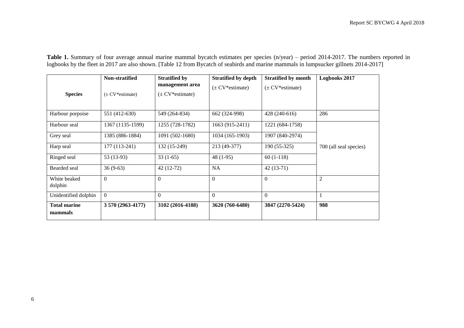**Table 1.** Summary of four average annual marine mammal bycatch estimates per species (n/year) – period 2014-2017. The numbers reported in logbooks by the fleet in 2017 are also shown. [Table 12 from Bycatch of seabirds and marine mammals in lumpsucker gillnets 2014-2017]

| <b>Species</b>                 | Non-stratified<br>$(\pm$ CV*estimate) | <b>Stratified by</b><br>management area<br>$(\pm$ CV*estimate) | <b>Stratified by depth</b><br>$(\pm$ CV*estimate) | <b>Stratified by month</b><br>$(\pm$ CV*estimate) | Logbooks 2017          |
|--------------------------------|---------------------------------------|----------------------------------------------------------------|---------------------------------------------------|---------------------------------------------------|------------------------|
| Harbour porpoise               | 551 (412-630)                         | 549 (264-834)                                                  | 662 (324-998)                                     | 428 (240-616)                                     | 286                    |
| Harbour seal                   | 1367 (1135-1599)                      | 1255 (728-1782)                                                | 1663 (915-2411)                                   | 1221 (684-1758)                                   |                        |
| Grey seal                      | 1385 (886-1884)                       | 1091 (502-1680)                                                | 1034 (165-1903)                                   | 1907 (840-2974)                                   |                        |
| Harp seal                      | 177 (113-241)                         | 132 (15-249)                                                   | 213 (49-377)                                      | $190(55-325)$                                     | 700 (all seal species) |
| Ringed seal                    | 53 (13-93)                            | $33(1-65)$                                                     | $48(1-95)$                                        | $60(1-118)$                                       |                        |
| Bearded seal                   | $36(9-63)$                            | 42 (12-72)                                                     | <b>NA</b>                                         | $42(13-71)$                                       |                        |
| White beaked<br>dolphin        | $\overline{0}$                        | $\theta$                                                       | $\theta$                                          | $\theta$                                          | $\mathfrak{2}$         |
| Unidentified dolphin           | $\Omega$                              | $\Omega$                                                       | $\theta$                                          | $\Omega$                                          | $\mathbf{1}$           |
| <b>Total marine</b><br>mammals | 3 570 (2963-4177)                     | 3102 (2016-4188)                                               | 3620 (760-6480)                                   | 3847 (2270-5424)                                  | 988                    |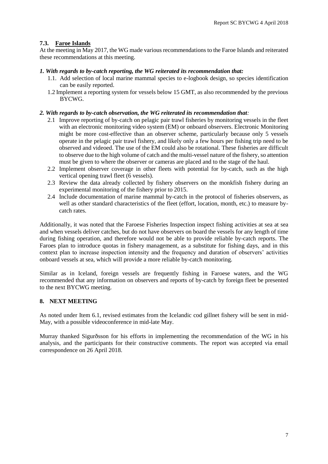#### **7.3. Faroe Islands**

At the meeting in May 2017, the WG made various recommendations to the Faroe Islands and reiterated these recommendations at this meeting.

#### *1. With regards to by-catch reporting, the WG reiterated its recommendation that:*

- 1.1. Add selection of local marine mammal species to e-logbook design, so species identification can be easily reported.
- 1.2 Implement a reporting system for vessels below 15 GMT, as also recommended by the previous BYCWG.

#### *2. With regards to by-catch observation, the WG reiterated its recommendation that:*

- 2.1 Improve reporting of by-catch on pelagic pair trawl fisheries by monitoring vessels in the fleet with an electronic monitoring video system (EM) or onboard observers. Electronic Monitoring might be more cost-effective than an observer scheme, particularly because only 5 vessels operate in the pelagic pair trawl fishery, and likely only a few hours per fishing trip need to be observed and videoed. The use of the EM could also be rotational. These fisheries are difficult to observe due to the high volume of catch and the multi-vessel nature of the fishery, so attention must be given to where the observer or cameras are placed and to the stage of the haul.
- 2.2 Implement observer coverage in other fleets with potential for by-catch, such as the high vertical opening trawl fleet (6 vessels).
- 2.3 Review the data already collected by fishery observers on the monkfish fishery during an experimental monitoring of the fishery prior to 2015.
- 2.4 Include documentation of marine mammal by-catch in the protocol of fisheries observers, as well as other standard characteristics of the fleet (effort, location, month, etc.) to measure bycatch rates.

Additionally, it was noted that the Faroese Fisheries Inspection inspect fishing activities at sea at sea and when vessels deliver catches, but do not have observers on board the vessels for any length of time during fishing operation, and therefore would not be able to provide reliable by-catch reports. The Faroes plan to introduce quotas in fishery management, as a substitute for fishing days, and in this context plan to increase inspection intensity and the frequency and duration of observers' activities onboard vessels at sea, which will provide a more reliable by-catch monitoring.

Similar as in Iceland, foreign vessels are frequently fishing in Faroese waters, and the WG recommended that any information on observers and reports of by-catch by foreign fleet be presented to the next BYCWG meeting.

#### **8. NEXT MEETING**

As noted under Item 6.1, revised estimates from the Icelandic cod gillnet fishery will be sent in mid-May, with a possible videoconference in mid-late May.

Murray thanked Sigurðsson for his efforts in implementing the recommendation of the WG in his analysis, and the participants for their constructive comments. The report was accepted via email correspondence on 26 April 2018.